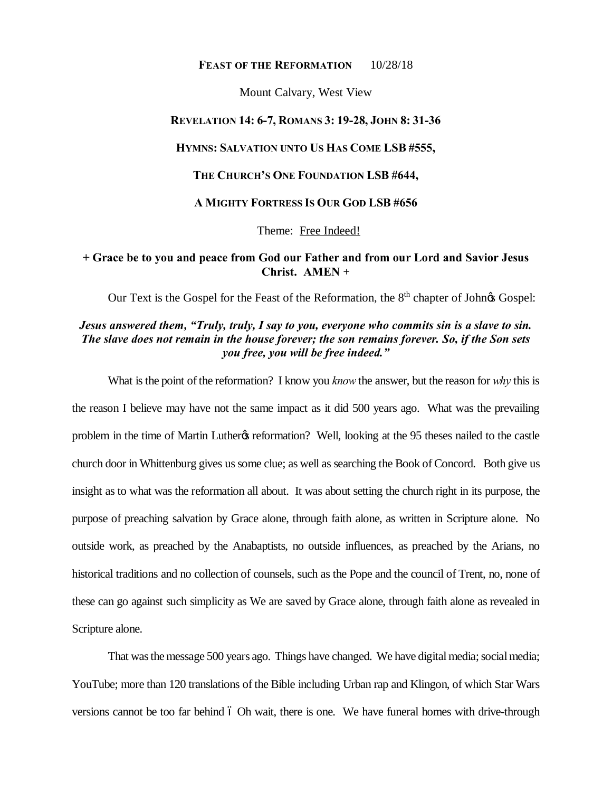### FEAST OF THE REFORMATION 10/28/18

Mount Calvary, West View

## **REVELATION 14: 6-7, ROMANS 3: 19-28, JOHN 8: 31-36**

### **HYMNS: SALVATION UNTO US HAS COME LSB #555,**

## **THE CHURCH'S ONE FOUNDATION LSB #644,**

#### **A MIGHTY FORTRESS IS OUR GOD LSB #656**

Theme: Free Indeed!

# **+ Grace be to you and peace from God our Father and from our Lord and Savior Jesus Christ. AMEN** +

Our Text is the Gospel for the Feast of the Reformation, the 8<sup>th</sup> chapter of Johnos Gospel:

# *Jesus answered them, "Truly, truly, I say to you, everyone who commits sin is a slave to sin. The slave does not remain in the house forever; the son remains forever. So, if the Son sets you free, you will be free indeed."*

What is the point of the reformation? I know you *know* the answer, but the reason for *why* this is the reason I believe may have not the same impact as it did 500 years ago. What was the prevailing problem in the time of Martin Luther & reformation? Well, looking at the 95 theses nailed to the castle church door in Whittenburg gives us some clue; as well as searching the Book of Concord. Both give us insight as to what was the reformation all about. It was about setting the church right in its purpose, the purpose of preaching salvation by Grace alone, through faith alone, as written in Scripture alone. No outside work, as preached by the Anabaptists, no outside influences, as preached by the Arians, no historical traditions and no collection of counsels, such as the Pope and the council of Trent, no, none of these can go against such simplicity as We are saved by Grace alone, through faith alone as revealed in Scripture alone.

That was the message 500 years ago. Things have changed. We have digital media; social media; YouTube; more than 120 translations of the Bible including Urban rap and Klingon, of which Star Wars versions cannot be too far behind 6 Oh wait, there is one. We have funeral homes with drive-through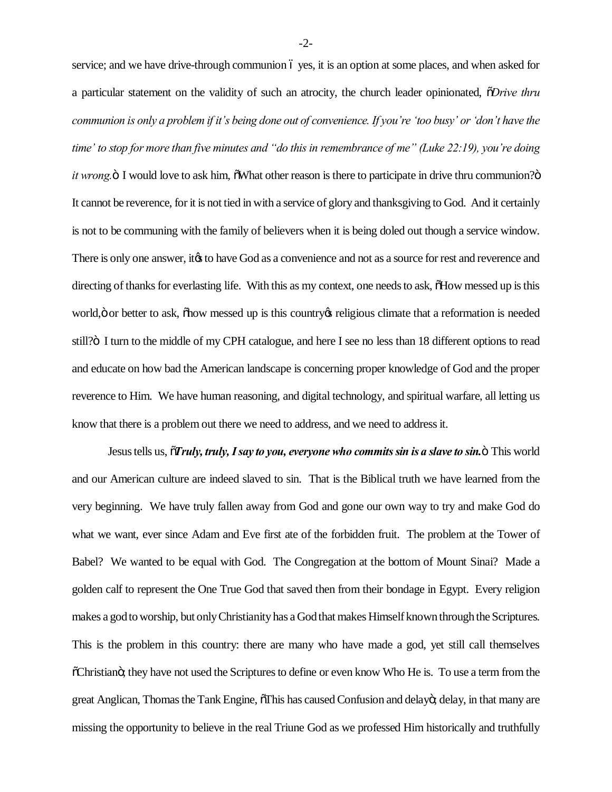service; and we have drive-through communion 6 yes, it is an option at some places, and when asked for a particular statement on the validity of such an atrocity, the church leader opinionated, "*Drive thru communion is only a problem if it's being done out of convenience. If you're 'too busy' or 'don't have the time' to stop for more than five minutes and "do this in remembrance of me" (Luke 22:19), you're doing it wrong.*  $\ddot{o}$  I would love to ask him,  $\ddot{o}$ What other reason is there to participate in drive thru communion? $\ddot{o}$ It cannot be reverence, for it is not tied in with a service of glory and thanksgiving to God. And it certainly is not to be communing with the family of believers when it is being doled out though a service window. There is only one answer, it ts to have God as a convenience and not as a source for rest and reverence and directing of thanks for everlasting life. With this as my context, one needs to ask,  $\delta$ How messed up is this world,  $\ddot{o}$  or better to ask,  $\ddot{o}$  how messed up is this country  $\alpha$  religious climate that a reformation is needed still? $\ddot{o}$  I turn to the middle of my CPH catalogue, and here I see no less than 18 different options to read and educate on how bad the American landscape is concerning proper knowledge of God and the proper reverence to Him. We have human reasoning, and digital technology, and spiritual warfare, all letting us know that there is a problem out there we need to address, and we need to address it.

Jesus tells us, "*Truly, truly, I say to you, everyone who commits sin is a slave to sin.*" This world and our American culture are indeed slaved to sin. That is the Biblical truth we have learned from the very beginning. We have truly fallen away from God and gone our own way to try and make God do what we want, ever since Adam and Eve first ate of the forbidden fruit. The problem at the Tower of Babel? We wanted to be equal with God. The Congregation at the bottom of Mount Sinai? Made a golden calf to represent the One True God that saved then from their bondage in Egypt. Every religion makes a god to worship, but only Christianity has a God that makes Himself known through the Scriptures. This is the problem in this country: there are many who have made a god, yet still call themselves  $\tilde{C}$ Christiano; they have not used the Scriptures to define or even know Who He is. To use a term from the great Anglican, Thomas the Tank Engine,  $\delta$ This has caused Confusion and delayo; delay, in that many are missing the opportunity to believe in the real Triune God as we professed Him historically and truthfully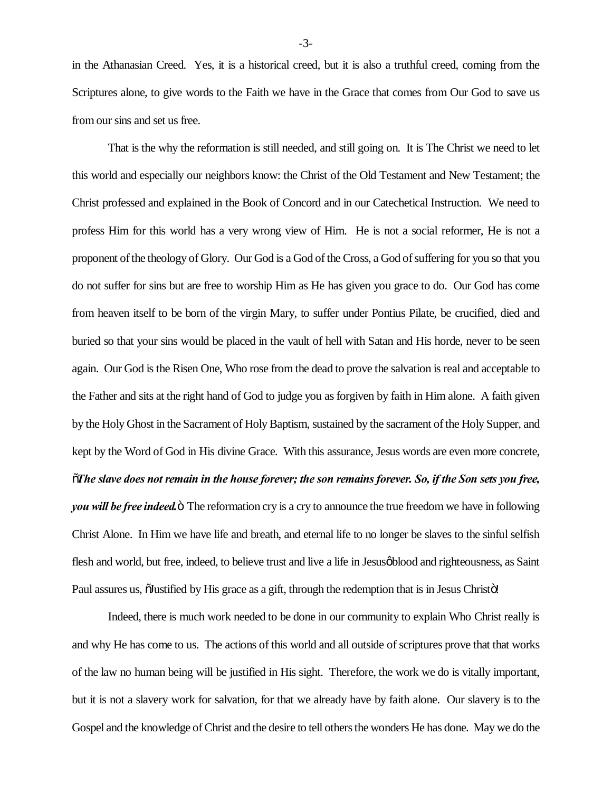in the Athanasian Creed. Yes, it is a historical creed, but it is also a truthful creed, coming from the Scriptures alone, to give words to the Faith we have in the Grace that comes from Our God to save us from our sins and set us free.

That is the why the reformation is still needed, and still going on. It is The Christ we need to let this world and especially our neighbors know: the Christ of the Old Testament and New Testament; the Christ professed and explained in the Book of Concord and in our Catechetical Instruction. We need to profess Him for this world has a very wrong view of Him. He is not a social reformer, He is not a proponent of the theology of Glory. Our God is a God of the Cross, a God of suffering for you so that you do not suffer for sins but are free to worship Him as He has given you grace to do. Our God has come from heaven itself to be born of the virgin Mary, to suffer under Pontius Pilate, be crucified, died and buried so that your sins would be placed in the vault of hell with Satan and His horde, never to be seen again. Our God is the Risen One, Who rose from the dead to prove the salvation is real and acceptable to the Father and sits at the right hand of God to judge you as forgiven by faith in Him alone. A faith given by the Holy Ghost in the Sacrament of Holy Baptism, sustained by the sacrament of the Holy Supper, and kept by the Word of God in His divine Grace. With this assurance, Jesus words are even more concrete, "*The slave does not remain in the house forever; the son remains forever. So, if the Son sets you free, you will be free indeed.*  $\ddot{o}$  The reformation cry is a cry to announce the true freedom we have in following Christ Alone. In Him we have life and breath, and eternal life to no longer be slaves to the sinful selfish flesh and world, but free, indeed, to believe trust and live a life in Jesus blood and righteousness, as Saint Paul assures us,  $\tilde{Q}$  Justified by His grace as a gift, through the redemption that is in Jesus Christo!

Indeed, there is much work needed to be done in our community to explain Who Christ really is and why He has come to us. The actions of this world and all outside of scriptures prove that that works of the law no human being will be justified in His sight. Therefore, the work we do is vitally important, but it is not a slavery work for salvation, for that we already have by faith alone. Our slavery is to the Gospel and the knowledge of Christ and the desire to tell others the wonders He has done. May we do the